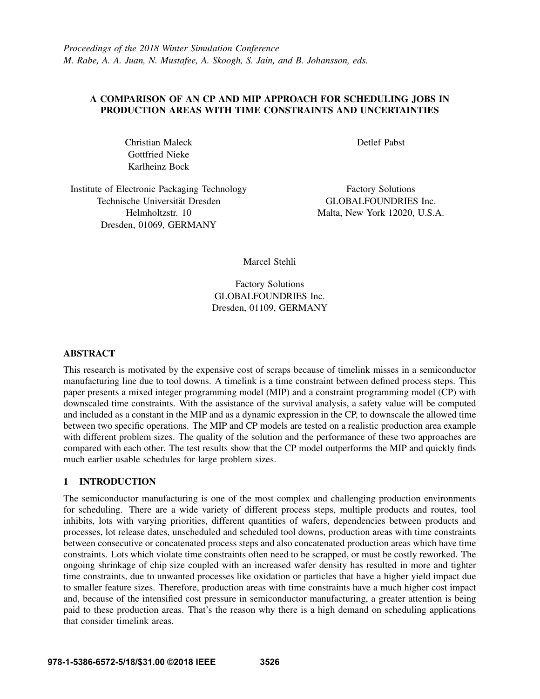# A COMPARISON OF AN CP AND MIP APPROACH FOR SCHEDULING JOBS IN PRODUCTION AREAS WITH TIME CONSTRAINTS AND UNCERTAINTIES

Christian Maleck Gottfried Nieke Karlheinz Bock

Detlef Pabst

Institute of Electronic Packaging Technology Technische Universität Dresden Helmholtzstr. 10 Dresden, 01069, GERMANY

Factory Solutions GLOBALFOUNDRIES Inc. Malta, New York 12020, U.S.A.

Marcel Stehli

Factory Solutions GLOBALFOUNDRIES Inc. Dresden, 01109, GERMANY

# ABSTRACT

This research is motivated by the expensive cost of scraps because of timelink misses in a semiconductor manufacturing line due to tool downs. A timelink is a time constraint between defined process steps. This paper presents a mixed integer programming model (MIP) and a constraint programming model (CP) with downscaled time constraints. With the assistance of the survival analysis, a safety value will be computed and included as a constant in the MIP and as a dynamic expression in the CP, to downscale the allowed time between two specific operations. The MIP and CP models are tested on a realistic production area example with different problem sizes. The quality of the solution and the performance of these two approaches are compared with each other. The test results show that the CP model outperforms the MIP and quickly finds much earlier usable schedules for large problem sizes.

# 1 INTRODUCTION

The semiconductor manufacturing is one of the most complex and challenging production environments for scheduling. There are a wide variety of different process steps, multiple products and routes, tool inhibits, lots with varying priorities, different quantities of wafers, dependencies between products and processes, lot release dates, unscheduled and scheduled tool downs, production areas with time constraints between consecutive or concatenated process steps and also concatenated production areas which have time constraints. Lots which violate time constraints often need to be scrapped, or must be costly reworked. The ongoing shrinkage of chip size coupled with an increased wafer density has resulted in more and tighter time constraints, due to unwanted processes like oxidation or particles that have a higher yield impact due to smaller feature sizes. Therefore, production areas with time constraints have a much higher cost impact and, because of the intensified cost pressure in semiconductor manufacturing, a greater attention is being paid to these production areas. That's the reason why there is a high demand on scheduling applications that consider timelink areas.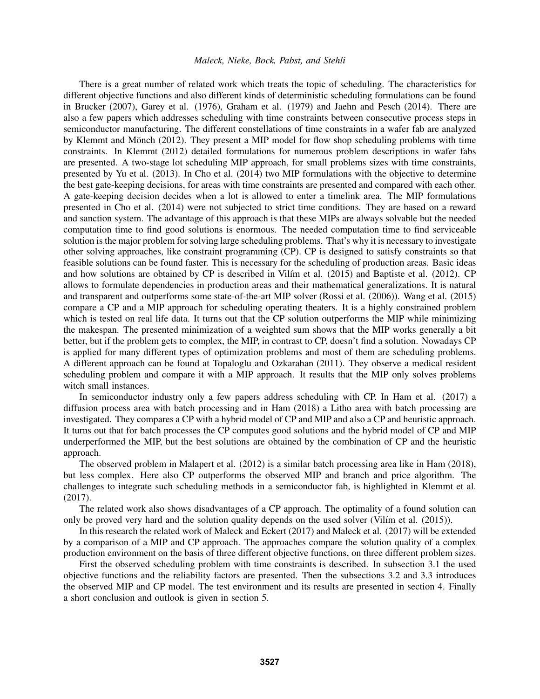#### *Maleck, Nieke, Bock, Pabst, and Stehli*

There is a great number of related work which treats the topic of scheduling. The characteristics for different objective functions and also different kinds of deterministic scheduling formulations can be found in Brucker (2007), Garey et al. (1976), Graham et al. (1979) and Jaehn and Pesch (2014). There are also a few papers which addresses scheduling with time constraints between consecutive process steps in semiconductor manufacturing. The different constellations of time constraints in a wafer fab are analyzed by Klemmt and Mönch (2012). They present a MIP model for flow shop scheduling problems with time constraints. In Klemmt (2012) detailed formulations for numerous problem descriptions in wafer fabs are presented. A two-stage lot scheduling MIP approach, for small problems sizes with time constraints, presented by Yu et al. (2013). In Cho et al. (2014) two MIP formulations with the objective to determine the best gate-keeping decisions, for areas with time constraints are presented and compared with each other. A gate-keeping decision decides when a lot is allowed to enter a timelink area. The MIP formulations presented in Cho et al. (2014) were not subjected to strict time conditions. They are based on a reward and sanction system. The advantage of this approach is that these MIPs are always solvable but the needed computation time to find good solutions is enormous. The needed computation time to find serviceable solution is the major problem for solving large scheduling problems. That's why it is necessary to investigate other solving approaches, like constraint programming (CP). CP is designed to satisfy constraints so that feasible solutions can be found faster. This is necessary for the scheduling of production areas. Basic ideas and how solutions are obtained by CP is described in Vilim et al.  $(2015)$  and Baptiste et al.  $(2012)$ . CP allows to formulate dependencies in production areas and their mathematical generalizations. It is natural and transparent and outperforms some state-of-the-art MIP solver (Rossi et al. (2006)). Wang et al. (2015) compare a CP and a MIP approach for scheduling operating theaters. It is a highly constrained problem which is tested on real life data. It turns out that the CP solution outperforms the MIP while minimizing the makespan. The presented minimization of a weighted sum shows that the MIP works generally a bit better, but if the problem gets to complex, the MIP, in contrast to CP, doesn't find a solution. Nowadays CP is applied for many different types of optimization problems and most of them are scheduling problems. A different approach can be found at Topaloglu and Ozkarahan (2011). They observe a medical resident scheduling problem and compare it with a MIP approach. It results that the MIP only solves problems witch small instances.

In semiconductor industry only a few papers address scheduling with CP. In Ham et al. (2017) a diffusion process area with batch processing and in Ham (2018) a Litho area with batch processing are investigated. They compares a CP with a hybrid model of CP and MIP and also a CP and heuristic approach. It turns out that for batch processes the CP computes good solutions and the hybrid model of CP and MIP underperformed the MIP, but the best solutions are obtained by the combination of CP and the heuristic approach.

The observed problem in Malapert et al. (2012) is a similar batch processing area like in Ham (2018), but less complex. Here also CP outperforms the observed MIP and branch and price algorithm. The challenges to integrate such scheduling methods in a semiconductor fab, is highlighted in Klemmt et al. (2017).

The related work also shows disadvantages of a CP approach. The optimality of a found solution can only be proved very hard and the solution quality depends on the used solver (Vilím et al. (2015)).

In this research the related work of Maleck and Eckert (2017) and Maleck et al. (2017) will be extended by a comparison of a MIP and CP approach. The approaches compare the solution quality of a complex production environment on the basis of three different objective functions, on three different problem sizes.

First the observed scheduling problem with time constraints is described. In subsection 3.1 the used objective functions and the reliability factors are presented. Then the subsections 3.2 and 3.3 introduces the observed MIP and CP model. The test environment and its results are presented in section 4. Finally a short conclusion and outlook is given in section 5.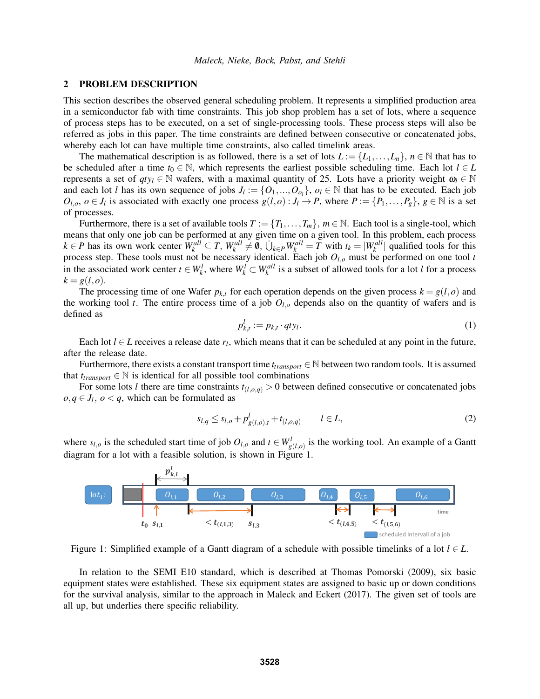### 2 PROBLEM DESCRIPTION

This section describes the observed general scheduling problem. It represents a simplified production area in a semiconductor fab with time constraints. This job shop problem has a set of lots, where a sequence of process steps has to be executed, on a set of single-processing tools. These process steps will also be referred as jobs in this paper. The time constraints are defined between consecutive or concatenated jobs, whereby each lot can have multiple time constraints, also called timelink areas.

The mathematical description is as followed, there is a set of lots  $L := \{L_1, \ldots, L_n\}$ ,  $n \in \mathbb{N}$  that has to be scheduled after a time  $t_0 \in \mathbb{N}$ , which represents the earliest possible scheduling time. Each lot  $l \in L$ represents a set of  $qty_l \in \mathbb{N}$  wafers, with a maximal quantity of 25. Lots have a priority weight  $\omega_l \in \mathbb{N}$ and each lot *l* has its own sequence of jobs  $J_l := \{O_1, ..., O_{o_l}\}$ ,  $o_l \in \mathbb{N}$  that has to be executed. Each job  $O_{l,o}, o \in J_l$  is associated with exactly one process  $g(l,o): J_l \to P$ , where  $P := \{P_1,\ldots,P_g\}, g \in \mathbb{N}$  is a set of processes.

Furthermore, there is a set of available tools  $T := \{T_1, \ldots, T_m\}$ ,  $m \in \mathbb{N}$ . Each tool is a single-tool, which means that only one job can be performed at any given time on a given tool. In this problem, each process  $k \in P$  has its own work center  $W_k^{all} \subseteq T$ ,  $W_k^{all} \neq \emptyset$ ,  $\bigcup_{k \in P} W_k^{all} = T$  with  $t_k = |W_k^{all}|$  qualified tools for this process step. These tools must not be necessary identical. Each job *Ol*,*<sup>o</sup>* must be performed on one tool *t* in the associated work center  $t \in W_k^l$ , where  $W_k^l \subset W_k^{all}$  is a subset of allowed tools for a lot *l* for a process  $k = g(l,o)$ .

The processing time of one Wafer  $p_{k,t}$  for each operation depends on the given process  $k = g(l, o)$  and the working tool *t*. The entire process time of a job  $O<sub>l,o</sub>$  depends also on the quantity of wafers and is defined as

$$
p_{k,t}^l := p_{k,t} \cdot q t y_l. \tag{1}
$$

Each lot  $l \in L$  receives a release date  $r_l$ , which means that it can be scheduled at any point in the future, after the release date.

Furthermore, there exists a constant transport time  $t_{transport} \in \mathbb{N}$  between two random tools. It is assumed that  $t_{transport} \in \mathbb{N}$  is identical for all possible tool combinations

For some lots *l* there are time constraints  $t_{(l,o,q)} > 0$  between defined consecutive or concatenated jobs  $o, q \in J_l$ ,  $o < q$ , which can be formulated as

$$
s_{l,q} \le s_{l,o} + p_{g(l,o),t}^l + t_{(l,o,q)} \qquad l \in L,\tag{2}
$$

where  $s_{l,o}$  is the scheduled start time of job  $O_{l,o}$  and  $t \in W_{g(l,o)}^l$  is the working tool. An example of a Gantt diagram for a lot with a feasible solution, is shown in Figure 1.



Figure 1: Simplified example of a Gantt diagram of a schedule with possible timelinks of a lot  $l \in L$ .

In relation to the SEMI E10 standard, which is described at Thomas Pomorski (2009), six basic equipment states were established. These six equipment states are assigned to basic up or down conditions for the survival analysis, similar to the approach in Maleck and Eckert (2017). The given set of tools are all up, but underlies there specific reliability.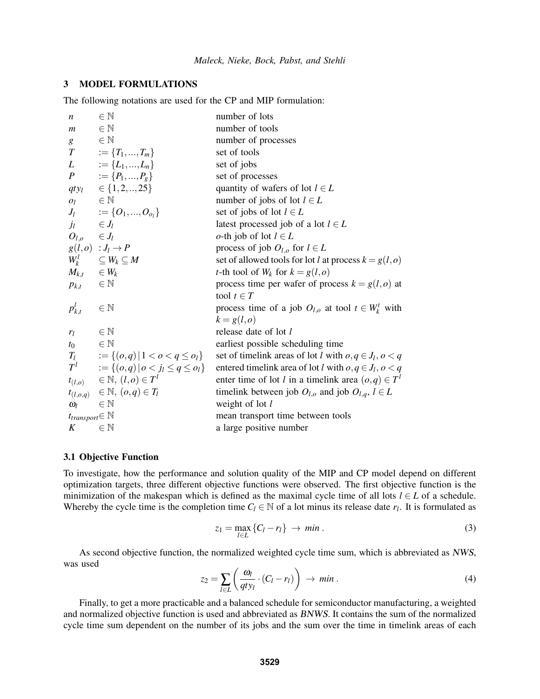## 3 MODEL FORMULATIONS

The following notations are used for the CP and MIP formulation:

| $\boldsymbol{n}$               | $\in \mathbb{N}$                                 | number of lots                                                 |
|--------------------------------|--------------------------------------------------|----------------------------------------------------------------|
| $\boldsymbol{m}$               | $\in \mathbb{N}$                                 | number of tools                                                |
| g                              | $\in \mathbb{N}$                                 | number of processes                                            |
| $\left\langle T\right\rangle$  | $:=\{T_1,,T_m\}$                                 | set of tools                                                   |
|                                | $L := \{L_1, , L_n\}$                            | set of jobs                                                    |
|                                | $P := \{P_1, , P_g\}$                            | set of processes                                               |
|                                | $qty_l \in \{1, 2, , 25\}$                       | quantity of wafers of lot $l \in L$                            |
| $O_l$                          | $\in \mathbb{N}$                                 | number of jobs of lot $l \in L$                                |
|                                | $J_l$ $:= \{O_1, , O_{o_l}\}\$                   | set of jobs of lot $l \in L$                                   |
| $j_l$                          | $\in J_l$                                        | latest processed job of a lot $l \in L$                        |
| $O_{l,o}$ $\in J_l$            |                                                  | <i>o</i> -th job of lot $l \in L$                              |
|                                | $g(l,o) : J_l \to P$                             | process of job $O_{l,o}$ for $l \in L$                         |
|                                | $W_k^l$ $\subseteq W_k \subseteq M$              | set of allowed tools for lot <i>l</i> at process $k = g(l, o)$ |
| $M_{k,t}$ $\in W_k$            |                                                  | <i>t</i> -th tool of $W_k$ for $k = g(l,o)$                    |
| $p_{k,t}$ $\in \mathbb{N}$     |                                                  | process time per wafer of process $k = g(l, o)$ at             |
|                                |                                                  | tool $t \in T$                                                 |
| $p_{k,t}^l$                    | $\in \mathbb{N}$                                 | process time of a job $O_{l,o}$ at tool $t \in W_k^t$ with     |
|                                |                                                  | $k = g(l,o)$                                                   |
| $r_l$                          | $\in \mathbb{N}$                                 | release date of lot l                                          |
| $t_0$                          | $\in \mathbb{N}$                                 | earliest possible scheduling time                              |
|                                | $T_l$ $:= \{(o,q)   1 < o < q \le o_l\}$         | set of timelink areas of lot l with $o, q \in J_l, o < q$      |
|                                | $T^l$ := { $(o,q)   o < j_l \leq q \leq o_l$ }   | entered timelink area of lot l with $o, q \in J_l, o < q$      |
|                                | $t_{(l,o)} \in \mathbb{N}, (l,o) \in T^l$        | enter time of lot l in a timelink area $(o,q) \in T^l$         |
|                                | $t_{(l,o,q)}$ $\in \mathbb{N}, (\, o,q) \in T_l$ | timelink between job $O_{l,o}$ and job $O_{l,q}$ , $l \in L$   |
| $\omega_{l}$                   | $\in \mathbb{N}$                                 | weight of lot $l$                                              |
| $t_{transport} \in \mathbb{N}$ |                                                  | mean transport time between tools                              |
| $K_{\rm}$                      | $\in \mathbb{N}$                                 | a large positive number                                        |

### 3.1 Objective Function

To investigate, how the performance and solution quality of the MIP and CP model depend on different optimization targets, three different objective functions were observed. The first objective function is the minimization of the makespan which is defined as the maximal cycle time of all lots  $l \in L$  of a schedule. Whereby the cycle time is the completion time  $C_l \in \mathbb{N}$  of a lot minus its release date  $r_l$ . It is formulated as

$$
z_1 = \max_{l \in L} \{C_l - r_l\} \to \min. \tag{3}
$$

As second objective function, the normalized weighted cycle time sum, which is abbreviated as NWS, was used

$$
z_2 = \sum_{l \in L} \left( \frac{\omega_l}{q t y_l} \cdot (C_l - r_l) \right) \to \min. \tag{4}
$$

Finally, to get a more practicable and a balanced schedule for semiconductor manufacturing, a weighted and normalized objective function is used and abbreviated as BNWS. It contains the sum of the normalized cycle time sum dependent on the number of its jobs and the sum over the time in timelink areas of each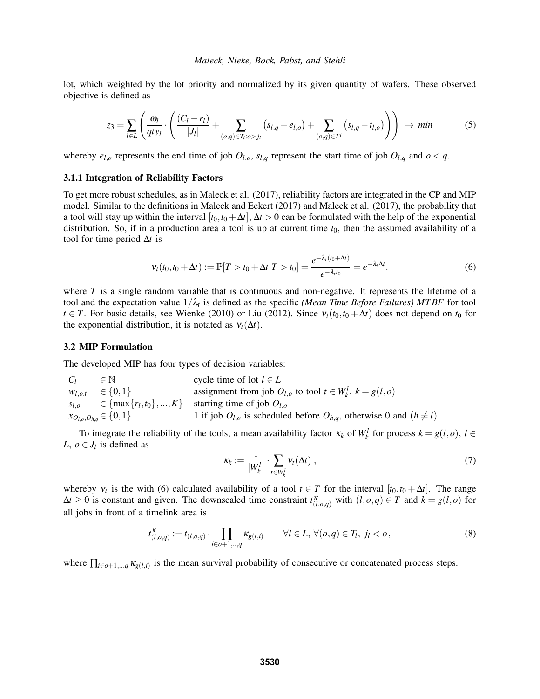lot, which weighted by the lot priority and normalized by its given quantity of wafers. These observed objective is defined as

$$
z_3 = \sum_{l \in L} \left( \frac{\omega_l}{qty_l} \cdot \left( \frac{(C_l - r_l)}{|J_l|} + \sum_{(o,q) \in T_l : o > j_l} (s_{l,q} - e_{l,o}) + \sum_{(o,q) \in T'} (s_{l,q} - t_{l,o}) \right) \right) \rightarrow min
$$
 (5)

whereby  $e_{l,o}$  represents the end time of job  $O_{l,o}$ ,  $s_{l,q}$  represent the start time of job  $O_{l,q}$  and  $o < q$ .

### 3.1.1 Integration of Reliability Factors

To get more robust schedules, as in Maleck et al. (2017), reliability factors are integrated in the CP and MIP model. Similar to the definitions in Maleck and Eckert (2017) and Maleck et al. (2017), the probability that a tool will stay up within the interval  $[t_0, t_0 + \Delta t]$ ,  $\Delta t > 0$  can be formulated with the help of the exponential distribution. So, if in a production area a tool is up at current time  $t_0$ , then the assumed availability of a tool for time period ∆*t* is

$$
V_t(t_0, t_0 + \Delta t) := \mathbb{P}[T > t_0 + \Delta t | T > t_0] = \frac{e^{-\lambda_t(t_0 + \Delta t)}}{e^{-\lambda_t t_0}} = e^{-\lambda_t \Delta t}.
$$
 (6)

where *T* is a single random variable that is continuous and non-negative. It represents the lifetime of a tool and the expectation value  $1/\lambda_t$  is defined as the specific *(Mean Time Before Failures) MTBF* for tool *t* ∈ *T*. For basic details, see Wienke (2010) or Liu (2012). Since  $v_l(t_0, t_0 + \Delta t)$  does not depend on  $t_0$  for the exponential distribution, it is notated as  $v_t(\Delta t)$ .

#### 3.2 MIP Formulation

The developed MIP has four types of decision variables:

 $C_l$  ∈ N cycle time of lot  $l \in L$ *w*<sub>*l*,*o*,*t*  $\in$  {0,1} assignment from job *O*<sub>*l*,*o*</sub> to tool *t*  $\in$  *W*<sup>*l*</sup>, *k* = *g*(*l*,*o*)</sub>  $s_{l,o}$   $\in \{\max\{r_l,t_0\},...,K\}$  starting time of job  $O_{l,o}$ *i* 1 if job  $O_{l,o}$  is scheduled before  $O_{h,q}$ , otherwise 0 and  $(h \neq l)$ 

To integrate the reliability of the tools, a mean availability factor  $\kappa_k$  of  $W_k^l$  for process  $k = g(l, o)$ ,  $l \in$ *L*,  $o \in J_l$  is defined as

$$
\kappa_k := \frac{1}{|W_k^l|} \cdot \sum_{t \in W_k^l} \nu_t(\Delta t) \,,\tag{7}
$$

whereby  $v_t$  is the with (6) calculated availability of a tool  $t \in T$  for the interval  $[t_0, t_0 + \Delta t]$ . The range  $\Delta t \geq 0$  is constant and given. The downscaled time constraint  $t_{(l,o,q)}^{\kappa}$  with  $(l,o,q) \in T$  and  $k = g(l,o)$  for all jobs in front of a timelink area is

$$
t_{(l,o,q)}^{\kappa} := t_{(l,o,q)} \cdot \prod_{i \in o+1,\dots,q} \kappa_{g(l,i)} \qquad \forall l \in L, \ \forall (o,q) \in T_l, \ j_l < o \,, \tag{8}
$$

where  $\prod_{i \in \text{o}+1, \dots, q} \kappa_{g(l,i)}$  is the mean survival probability of consecutive or concatenated process steps.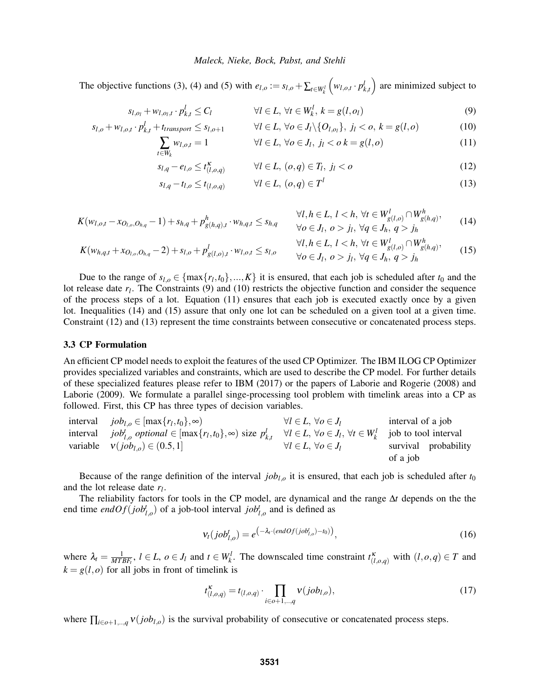#### *Maleck, Nieke, Bock, Pabst, and Stehli*

The objective functions (3), (4) and (5) with  $e_{l,o} := s_{l,o} + \sum_{t \in W_k^l}$  $(w_{l,o,t} \cdot p_{k,t}^l)$  are minimized subject to

$$
s_{l,o_l} + w_{l,o_l,t} \cdot p_{k,t}^l \le C_l \qquad \qquad \forall l \in L, \ \forall t \in W_k^l, \ k = g(l,o_l) \tag{9}
$$

$$
s_{l,o} + w_{l,o,t} \cdot p_{k,t}^l + t_{transport} \le s_{l,o+1} \qquad \forall l \in L, \forall o \in J_l \setminus \{O_{l,o_l}\}, \ j_l < o, \ k = g(l,o) \tag{10}
$$

$$
\sum_{t \in W_k} w_{l,o,t} = 1 \qquad \qquad \forall l \in L, \forall o \in J_l, \ j_l < o \ k = g(l,o) \tag{11}
$$

$$
s_{l,q} - e_{l,o} \le t_{(l,o,q)}^{\kappa} \qquad \forall l \in L, (o,q) \in T_l, j_l < o \qquad (12)
$$

$$
s_{l,q} - t_{l,o} \le t_{(l,o,q)} \qquad \forall l \in L, (o,q) \in T^l \tag{13}
$$

$$
K(w_{l,o,t} - x_{O_{l,o},O_{h,q}} - 1) + s_{h,q} + p_{g(h,q),t}^h \cdot w_{h,q,t} \le s_{h,q} \qquad \forall l, h \in L, l < h, \forall t \in W_{g(l,o)}^l \cap W_{g(h,q)}^h,
$$
\n
$$
\forall o \in J_l, o > j_l, \forall q \in J_h, q > j_h
$$
\n
$$
(14)
$$

$$
K(w_{h,q,t} + x_{O_{l,o},O_{h,q}} - 2) + s_{l,o} + p_{g(l,o),t}^{l} \cdot w_{l,o,t} \leq s_{l,o} \qquad \forall l, h \in L, l < h, \forall t \in W_{g(l,o)}^{l} \cap W_{g(h,q)}^{h}, \tag{15}
$$

Due to the range of  $s_{l,o} \in \{\max\{r_l,t_0\},...,K\}$  it is ensured, that each job is scheduled after  $t_0$  and the lot release date  $r_l$ . The Constraints (9) and (10) restricts the objective function and consider the sequence of the process steps of a lot. Equation (11) ensures that each job is executed exactly once by a given lot. Inequalities (14) and (15) assure that only one lot can be scheduled on a given tool at a given time. Constraint (12) and (13) represent the time constraints between consecutive or concatenated process steps.

### 3.3 CP Formulation

An efficient CP model needs to exploit the features of the used CP Optimizer. The IBM ILOG CP Optimizer provides specialized variables and constraints, which are used to describe the CP model. For further details of these specialized features please refer to IBM (2017) or the papers of Laborie and Rogerie (2008) and Laborie (2009). We formulate a parallel singe-processing tool problem with timelink areas into a CP as followed. First, this CP has three types of decision variables.

| interval $job_{l,o} \in [\max\{r_l,t_0\},\infty)$                                                                                                                                                    | $\forall l \in L, \, \forall o \in J_l$ | interval of a job    |
|------------------------------------------------------------------------------------------------------------------------------------------------------------------------------------------------------|-----------------------------------------|----------------------|
| interval <i>job</i> <sup>t</sup> <sub>Lo</sub> optional $\in$ [max $\{r_l, t_0\}$ , $\infty$ ) size $p_{k,t}^l$ $\forall l \in L$ , $\forall o \in J_l$ , $\forall t \in W_k^l$ job to tool interval |                                         |                      |
| variable $v(job_{l,o}) \in (0.5, 1]$                                                                                                                                                                 | $\forall l \in L, \, \forall o \in J_l$ | survival probability |
|                                                                                                                                                                                                      |                                         | of a job             |

Because of the range definition of the interval  $job<sub>l,o</sub>$  it is ensured, that each job is scheduled after  $t_0$ and the lot release date *r<sup>l</sup>* .

The reliability factors for tools in the CP model, are dynamical and the range ∆*t* depends on the the end time  $endOf(job<sup>t</sup><sub>l,o</sub>)$  of a job-tool interval  $job<sup>t</sup><sub>l,o</sub>$  and is defined as

$$
\mathbf{v}_t(job_{l,o}^t) = e^{\left(-\lambda_t \cdot (endOf(job_{l,o}^t) - t_0)\right)},\tag{16}
$$

where  $\lambda_t = \frac{1}{MTBF_t}$ ,  $l \in L$ ,  $o \in J_l$  and  $t \in W_k^l$ . The downscaled time constraint  $t_{(l,o,q)}^k$  with  $(l,o,q) \in T$  and  $k = g(l, o)$  for all jobs in front of timelink is

$$
t_{(l,o,q)}^{\kappa} = t_{(l,o,q)} \cdot \prod_{i \in o+1, \dots, q} \mathbf{v}(job_{l,o}), \tag{17}
$$

where  $\prod_{i \in \text{O+1}, \ldots, q} v(j \circ b_{l,\text{o}})$  is the survival probability of consecutive or concatenated process steps.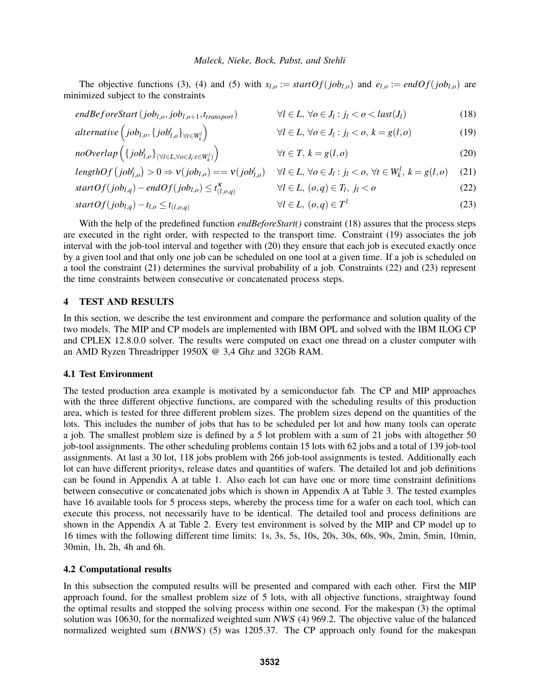The objective functions (3), (4) and (5) with  $s_{l,o} := startOf(job_{l,o})$  and  $e_{l,o} := endOf(job_{l,o})$  are minimized subject to the constraints

$$
endBeforeStart(job_{l,o}, job_{l,o+1}, t_{transport}) \qquad \forall l \in L, \forall o \in J_l : j_l < o < last(J_l)
$$
\n(18)

$$
alternative\left(job_{l,o},\{job_{l,o}^t\}_{\forall t \in W_k^l}\right) \qquad \qquad \forall l \in L, \forall o \in J_l : j_l < o, k = g(l,o) \qquad (19)
$$

$$
noOverlap \left( \{ job_{l,o}^t \}_{\forall l \in L, \forall o \in J_l : t \in W_k^l} \right) \qquad \qquad \forall t \in T, k = g(l, o) \tag{20}
$$

$$
lengthOf\left(job_{l,o}^{t}\right) > 0 \Rightarrow \mathbf{v}(job_{l,o}) = \mathbf{v}(job_{l,o}^{t}) \quad \forall l \in L, \forall o \in J_{l}: j_{l} < o, \forall t \in W_{k}^{l}, k = g(l,o) \quad (21)
$$

$$
startOf(job_{l,q}) - endOf(job_{l,o}) \le t_{(l,o,q)}^K \qquad \qquad \forall l \in L, (o,q) \in T_l, j_l < o \tag{22}
$$

$$
startOf(job_{l,q}) - t_{l,o} \le t_{(l,o,q)} \qquad \qquad \forall l \in L, (o,q) \in T^l \qquad (23)
$$

With the help of the predefined function *endBeforeStart()* constraint (18) assures that the process steps are executed in the right order, with respected to the transport time. Constraint (19) associates the job interval with the job-tool interval and together with (20) they ensure that each job is executed exactly once by a given tool and that only one job can be scheduled on one tool at a given time. If a job is scheduled on a tool the constraint (21) determines the survival probability of a job. Constraints (22) and (23) represent the time constraints between consecutive or concatenated process steps.

## 4 TEST AND RESULTS

In this section, we describe the test environment and compare the performance and solution quality of the two models. The MIP and CP models are implemented with IBM OPL and solved with the IBM ILOG CP and CPLEX 12.8.0.0 solver. The results were computed on exact one thread on a cluster computer with an AMD Ryzen Threadripper 1950X @ 3,4 Ghz and 32Gb RAM.

### 4.1 Test Environment

The tested production area example is motivated by a semiconductor fab. The CP and MIP approaches with the three different objective functions, are compared with the scheduling results of this production area, which is tested for three different problem sizes. The problem sizes depend on the quantities of the lots. This includes the number of jobs that has to be scheduled per lot and how many tools can operate a job. The smallest problem size is defined by a 5 lot problem with a sum of 21 jobs with altogether 50 job-tool assignments. The other scheduling problems contain 15 lots with 62 jobs and a total of 139 job-tool assignments. At last a 30 lot, 118 jobs problem with 266 job-tool assignments is tested. Additionally each lot can have different prioritys, release dates and quantities of wafers. The detailed lot and job definitions can be found in Appendix A at table 1. Also each lot can have one or more time constraint definitions between consecutive or concatenated jobs which is shown in Appendix A at Table 3. The tested examples have 16 available tools for 5 process steps, whereby the process time for a wafer on each tool, which can execute this process, not necessarily have to be identical. The detailed tool and process definitions are shown in the Appendix A at Table 2. Every test environment is solved by the MIP and CP model up to 16 times with the following different time limits: 1s, 3s, 5s, 10s, 20s, 30s, 60s, 90s, 2min, 5min, 10min, 30min, 1h, 2h, 4h and 6h.

## 4.2 Computational results

In this subsection the computed results will be presented and compared with each other. First the MIP approach found, for the smallest problem size of 5 lots, with all objective functions, straightway found the optimal results and stopped the solving process within one second. For the makespan (3) the optimal solution was 10630, for the normalized weighted sum NWS (4) 969.2. The objective value of the balanced normalized weighted sum (BNWS) (5) was 1205.37. The CP approach only found for the makespan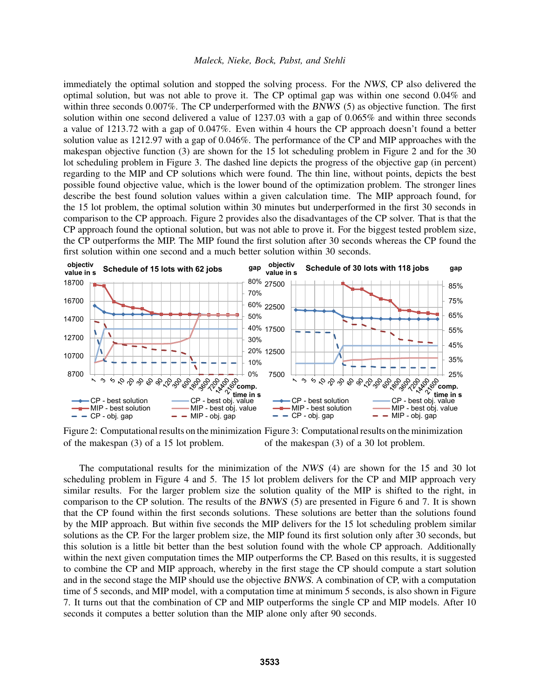#### *Maleck, Nieke, Bock, Pabst, and Stehli*

immediately the optimal solution and stopped the solving process. For the NWS, CP also delivered the optimal solution, but was not able to prove it. The CP optimal gap was within one second 0.04% and within three seconds 0.007%. The CP underperformed with the BNWS (5) as objective function. The first solution within one second delivered a value of 1237.03 with a gap of 0.065% and within three seconds a value of 1213.72 with a gap of 0.047%. Even within 4 hours the CP approach doesn't found a better solution value as 1212.97 with a gap of 0.046%. The performance of the CP and MIP approaches with the makespan objective function (3) are shown for the 15 lot scheduling problem in Figure 2 and for the 30 lot scheduling problem in Figure 3. The dashed line depicts the progress of the objective gap (in percent) regarding to the MIP and CP solutions which were found. The thin line, without points, depicts the best possible found objective value, which is the lower bound of the optimization problem. The stronger lines describe the best found solution values within a given calculation time. The MIP approach found, for the 15 lot problem, the optimal solution within 30 minutes but underperformed in the first 30 seconds in comparison to the CP approach. Figure 2 provides also the disadvantages of the CP solver. That is that the CP approach found the optional solution, but was not able to prove it. For the biggest tested problem size, the CP outperforms the MIP. The MIP found the first solution after 30 seconds whereas the CP found the first solution within one second and a much better solution within 30 seconds.



Figure 2: Computational results on the minimization Figure 3: Computational results on the minimization of the makespan (3) of a 15 lot problem. of the makespan (3) of a 30 lot problem.

The computational results for the minimization of the NWS (4) are shown for the 15 and 30 lot scheduling problem in Figure 4 and 5. The 15 lot problem delivers for the CP and MIP approach very similar results. For the larger problem size the solution quality of the MIP is shifted to the right, in comparison to the CP solution. The results of the BNWS (5) are presented in Figure 6 and 7. It is shown that the CP found within the first seconds solutions. These solutions are better than the solutions found by the MIP approach. But within five seconds the MIP delivers for the 15 lot scheduling problem similar solutions as the CP. For the larger problem size, the MIP found its first solution only after 30 seconds, but this solution is a little bit better than the best solution found with the whole CP approach. Additionally within the next given computation times the MIP outperforms the CP. Based on this results, it is suggested to combine the CP and MIP approach, whereby in the first stage the CP should compute a start solution and in the second stage the MIP should use the objective BNWS. A combination of CP, with a computation time of 5 seconds, and MIP model, with a computation time at minimum 5 seconds, is also shown in Figure 7. It turns out that the combination of CP and MIP outperforms the single CP and MIP models. After 10 seconds it computes a better solution than the MIP alone only after 90 seconds.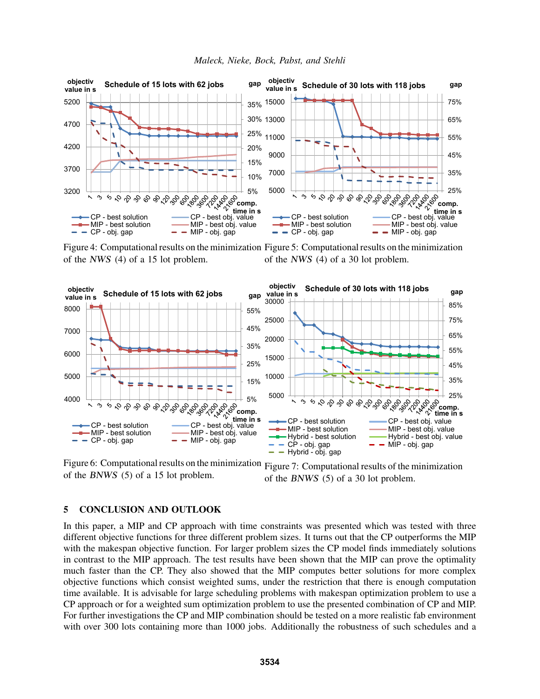

Figure 4: Computational results on the minimization Figure 5: Computational results on the minimization of the NWS (4) of a 15 lot problem. of the NWS (4) of a 30 lot problem.



Figure 6: Computational results on the minimization Figure 7: Computational results of the minimization of the BNWS (5) of a 15 lot problem. of the BNWS (5) of a 30 lot problem.

## 5 CONCLUSION AND OUTLOOK

In this paper, a MIP and CP approach with time constraints was presented which was tested with three different objective functions for three different problem sizes. It turns out that the CP outperforms the MIP with the makespan objective function. For larger problem sizes the CP model finds immediately solutions in contrast to the MIP approach. The test results have been shown that the MIP can prove the optimality much faster than the CP. They also showed that the MIP computes better solutions for more complex objective functions which consist weighted sums, under the restriction that there is enough computation time available. It is advisable for large scheduling problems with makespan optimization problem to use a CP approach or for a weighted sum optimization problem to use the presented combination of CP and MIP. For further investigations the CP and MIP combination should be tested on a more realistic fab environment with over 300 lots containing more than 1000 jobs. Additionally the robustness of such schedules and a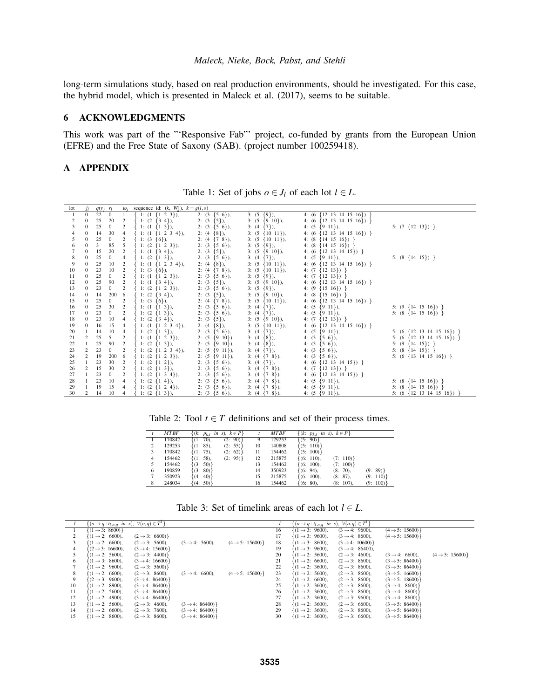long-term simulations study, based on real production environments, should be investigated. For this case, the hybrid model, which is presented in Maleck et al. (2017), seems to be suitable.

# 6 ACKNOWLEDGMENTS

This work was part of the "'Responsive Fab"' project, co-funded by grants from the European Union (EFRE) and the Free State of Saxony (SAB). (project number 100259418).

# A APPENDIX

| lot            | ĴΙ               | $qty_j$ $r_l$   |                | $\omega_i$     | sequence id: $(k, W_k^l)$ , $k = g(l, o)$ |                     |                      |                                       |                                       |
|----------------|------------------|-----------------|----------------|----------------|-------------------------------------------|---------------------|----------------------|---------------------------------------|---------------------------------------|
|                | $\overline{0}$   | $\overline{22}$ | $\mathbf{0}$   |                | $\{1: (1 \{1 \ 2 \ 3\}),\$                | 2: $(3 \{5 \ 6\}),$ | $3: (5 \{9\}),$      | 4: $(6 \{12\}13\}14\}15\}$            |                                       |
|                | $\bf{0}$         | 25              | 20             | $\overline{c}$ | $\{1: (2 \{3, 4\}),\}$                    | 2: $(3 \{5\})$ ,    | 3: $(5 \{9 \ 10\}),$ | 4: $(6 \{12\}13\}14\}15\}$            |                                       |
| $\frac{2}{3}$  | $\mathbf{0}$     | 25              | $\mathbf{0}$   | $\overline{c}$ | $\{1: (1 \{1\}3)\},\$                     | 2: $(3 \{5 \ 6\}),$ | $3: (4 \{7\}),$      | 4: $(5 \{9\}11)$ ,                    | 5: $(7 \{12 \ 13\})$ }                |
|                | $\bf{0}$         | 14              | 30             | $\overline{4}$ | $\{1: (1 \{1 \ 2 \ 3 \ 4\}),\$            | 2: $(4 \{8\})$ ,    | $3: (5 \{10\ 11\}),$ | 4: $(6 \{12\} \ 13 \ 14 \ 15 \ 16)$ } |                                       |
| 5              | $\mathbf{0}$     | 25              | $\mathbf{0}$   | $\overline{c}$ | 1: $(3 \{6\})$ ,                          | 2: $(4 \{7 \}8)$ ,  | $3: (5 \{10\ 11\}),$ | 4: $(8 \{14 \ 15 \ 16\})$             |                                       |
| 6              | $\mathbf{0}$     | 3               | 85             | 5              | $1: (2 \{1 \ 2 \ 3\}),$                   | 2: $(3 \{5 \ 6\}),$ | $3: (5 \{9\}),$      | 4: $(8 \{14 \ 15 \ 16\})$             |                                       |
| $\overline{7}$ | $\bf{0}$         | 15              | 20             | $\overline{c}$ | $\{1: (1 \{3, 4\}),\}$                    | 2: $(3 \{5\})$ ,    | $3: (5 \{9 \ 10\}),$ | 4: $(6 \{12\ 13\ 14\ 15\})$ }         |                                       |
| 8              | $\boldsymbol{0}$ | 25              | $\mathbf{0}$   | $\overline{4}$ | $\{1: (2 \{1\}3)\},\$                     | 2: $(3 \{5 \ 6\}),$ | $3: (4 \{7\}),$      | 4: $(5 \{9\}11)$ ,                    | 5: $(8 \{14 \ 15\})$ }                |
| 9              | $\bf{0}$         | 25              | 10             | $\overline{2}$ | $\{1: (1 \{1 \ 2 \ 3 \ 4\}),\$            | 2: $(4 \{8\})$ ,    | $3: (5 \{10\ 11\}),$ | 4: $(6 \{12\}13\}14\}15\}$            |                                       |
| 10             | $\bf{0}$         | 23              | 10             | $\overline{2}$ | $\{1: (3 \{6\}),\}$                       | 2: $(4 \{7 \}8)$ ,  | $3: (5 \{10\ 11\}),$ | 4: $(7 \{12 \ 13\})$ }                |                                       |
| 11             | $\mathbf{0}$     | 25              | $\overline{0}$ | $\overline{2}$ | 1: $(1 \{1\ 2\ 3\})$ ,                    | 2: $(3 \{5 \ 6\}),$ | $3: (5 \{9\}),$      | 4: $(7 \{12 \ 13\})$ }                |                                       |
| 12             | $\bf{0}$         | 25              | 90             | $\overline{c}$ | $\{1: (1 \{3, 4\}),\}$                    | 2: $(3 \{5\})$ ,    | $3: (5 \{9\ 10\}),$  | 4: $(6 \{12\} \ 13 \ 14 \ 15 \ 16)$ } |                                       |
| 13             | $\mathbf{0}$     | 23              | $\overline{0}$ | $\overline{c}$ | 1: $(2 \{1 \ 2 \ 3\}),$                   | 2: $(3 \{5 \ 6\}),$ | $3: (5 \{9\}),$      | 4: $(9 \{15 \{16\})\}$                |                                       |
| 14             | $\bf{0}$         | 14              | 200 6          |                | $\{1: (2 \{3, 4\}),\}$                    | 2: $(3 \{5\})$ ,    | $3: (5 \{9 \ 10\}),$ | 4: $(8 \{15 \ 16\})$                  |                                       |
| 15             | $\bf{0}$         | 25              | $\mathbf{0}$   | $\overline{c}$ | $\{1: (3 \{6\}),\}$                       | 2: $(4 \{7 \}8)$ ,  | $3: (5 \{10\ 11\}),$ | 4: $(6 \{12\ 13\ 14\ 15\ 16\})$       |                                       |
| 16             | $\bf{0}$         | 25              | 30             | $\overline{c}$ | $\{1: (1 \{13\}),\$                       | 2: $(3 \{5 \ 6\}),$ | $3: (4 \{7\}),$      | 4: $(5 \{9\}11)$ ,                    | 5: $(9 \{14\} \{15\} \{16\})$         |
| 17             | $\mathbf{0}$     | 23              | $\overline{0}$ | $\overline{2}$ | $\{1: (2 \{1\}3)\},\$                     | 2: $(3 \{5 \ 6\}),$ | $3: (4 \{7\}),$      | 4: $(5 \{9\}11)$ ,                    | 5: $(8 \{14\} \{15\} \{16\})$         |
| 18             | $\mathbf{0}$     | 23              | 10             | 4              | $\{1: (2 \{3, 4\}),\}$                    | 2: $(3 \{5\})$ ,    | $3: (5 \{9\ 10\}),$  | 4: $(7 \{12 \ 13\})$ }                |                                       |
| 19             | $\bf{0}$         | 16              | 15             | 4              | $\{1: (1 \{1 \ 2 \ 3 \ 4\}),\$            | 2: $(4 \{8\})$ ,    | $3: (5 \{10\ 11\}),$ | 4: $(6 \{12\ 13\ 14\ 15\ 16\})$ }     |                                       |
| 20             | 1                | 14              | 10             | $\overline{4}$ | $\{1: (2 \{1\}3)\},\$                     | 2: $(3 \{5 \ 6\}),$ | $3: (4 \{7\}),$      | 4: $(5 \{9\}11)$ ,                    | 5: $(6 \{12\} \ 13 \ 14 \ 15 \ 16)$ } |
| 21             | $\mathfrak{2}$   | 25              | 5 <sup>5</sup> | 2              | $\{1: (1 \{1 \ 2 \ 3\}),\$                | 2: $(5 \{9\}10)$ ,  | $3: (4 \{8\}),$      | 4: $(3 \{5 \ 6\}),$                   | 5: $(6 \{12\} \ 13 \ 14 \ 15 \ 16)$ } |
| 22             |                  | 25              | 90             | $\overline{2}$ | $\{1: (2 \{1\}3)\},\$                     | 2: $(5 \{9\}10)$ ,  | $3: (4 \{8\}),$      | 4: $(3 \{5 \ 6\}),$                   | 5: $(9 \{14\} )$ }                    |
| 23             | $\overline{c}$   | 23              | $\overline{0}$ | $\overline{c}$ | $\{1: (2 \{1 \ 2 \ 3 \ 4\}),\$            | 2: $(5 \{9\}11)$ ,  | $3: (4 \{7\}),$      | 4: $(3 \{5 \ 6\}),$                   | 5: $(8 \{14\ 15\})$                   |
| 24             | 2                | 19              | 200            | 6              | $\{1: (2 \{1 \ 2 \ 3\}),\$                | 2: $(5 \{9\}11)$ ,  | 3: $(4 \{7 \}8)$ ,   | 4: $(3 \{5 \ 6\}),$                   | 5: $(6 \{13\}14\ 15\ 16)$ }           |
| 25             |                  | 23              | 30             | $\overline{2}$ | $\{1: (2 \{1\ 2\}),\$                     | 2: $(3 \{5 \ 6\}),$ | $3: (4 \{7\}),$      | 4: $(6 \{12\ 13\ 14\ 15\})$           |                                       |
| 26             | $\mathfrak{2}$   | 15              | 30             | $\overline{c}$ | $\{1: (2 \{1\}3)\},\$                     | 2: $(3 \{5 \ 6\}),$ | 3: $(4 \{7 \}8)$ ,   | 4: $(7 \{12 \ 13\})$ }                |                                       |
| 27             | $\mathbf{1}$     | 23              | $\overline{0}$ | 2              | 1: $(2 \{1\ 3\ 4\}),$                     | 2: $(3 \{5 \ 6\}),$ | $3: (4 \{7 \}8)$ ,   | 4: $(6 \{12\ 13\ 14\ 15\})$           |                                       |
| 28             | 1                | 23              | 10             | $\overline{4}$ | $\{1: (2 \{14\}),\$                       | 2: $(3 \{5 \ 6\}),$ | $3: (4 \{7 \}8)$ ,   | 4: $(5 \{9\}11)$ ,                    | 5: $(8 \{14 \} 15 \{16\})$            |
| 29             | 1                | 19              | 15             | 4              | $\{1: (2 \{1 \ 2 \ 4\}),\$                | 2: $(3 \{5 \ 6\}),$ | $3: (4 \{7 \}8)$ ,   | 4: $(5 \{9\}11)$ ,                    | 5: $(8 \{14 \ 15 \ 16\})$             |
| 30             | 2                | 14              | 10             | $\overline{4}$ | $\{1: (2 \{1\}3)\},\$                     | 2: $(3 \{5 \ 6\}),$ | $3: (4 \{7 \}8)$ ,   | 4: $(5 \{9\}11)$ ,                    | 5: $(6 \{12\ 13\ 14\ 15\ 16\})$       |

Table 1: Set of jobs  $o \in J_l$  of each lot  $l \in L$ .

| Table 2: Tool $t \in T$ definitions and set of their process times. |  |  |  |
|---------------------------------------------------------------------|--|--|--|
|---------------------------------------------------------------------|--|--|--|

|   | <b>MTBF</b> |                | $\{(k: p_{k,t} \text{ in } s), k \in P\}$ |    | <b>MTBF</b> | $\{(k: p_{k}, in s), k \in P\}$ |              |          |
|---|-------------|----------------|-------------------------------------------|----|-------------|---------------------------------|--------------|----------|
|   | 170842      | $\{(1: 70),\}$ | (2: 90)                                   | 9  | 129253      | $\{(5: 90)\}\$                  |              |          |
| 2 | 129253      | $\{(1: 85),\$  | (2: 55)                                   | 10 | 140808      | $\{(5: 110)\}\$                 |              |          |
| 3 | 170842      | $\{(1: 75),\}$ | (2: 62)                                   | 11 | 154462      | $\{(5: 100)\}\$                 |              |          |
| 4 | 154462      | $\{(1: 58),\$  | (2: 95)                                   | 12 | 215875      | $\{(6: 110),\}$                 | (7: 110)     |          |
| 5 | 154462      | $\{(3: 50)\}$  |                                           | 13 | 154462      | $\{(6: 100),\}$                 | (7: 100)     |          |
| 6 | 190859      | $\{(3: 80)\}\$ |                                           | 14 | 350923      | $\{(6: 94),\}$                  | $(8: 70)$ ,  | (9: 89)  |
| 7 | 350923      | $\{(4: 40)\}$  |                                           | 15 | 215875      | $\{(6: 100),\}$                 | $(8: 87)$ ,  | (9: 110) |
| 8 | 248034      | $\{(4: 50)\}$  |                                           | 16 | 154462      | $\{(6: 80),\}$                  | $(8: 107)$ , | (9: 100) |

Table 3: Set of timelink areas of each lot  $l \in L$ .

|    | $\{(o \rightarrow q : t_{l.o.a} \text{ in } s), \forall (o,q) \in T^l\}$ |                             |                             |                            |    | $\{(\rho \rightarrow q : t_{l,o,q} \text{ in } s), \forall (\rho,q) \in T^l\}$ |                              |                             |                            |
|----|--------------------------------------------------------------------------|-----------------------------|-----------------------------|----------------------------|----|--------------------------------------------------------------------------------|------------------------------|-----------------------------|----------------------------|
|    | $\{(1 \rightarrow 3: 8600)\}$                                            |                             |                             |                            | 16 | $\{(1 \rightarrow 3: 9600),\}$                                                 | $(3 \rightarrow 4: 9600)$ ,  | $(4 \rightarrow 5: 15600)$  |                            |
|    | $\{(1 \rightarrow 2; 6600)\}.$                                           | $(2 \rightarrow 3: 6600)$   |                             |                            | 17 | $\{(1 \rightarrow 3: 9600),\}$                                                 | $(3 \rightarrow 4: 8600)$ ,  | $(4 \rightarrow 5: 15600)$  |                            |
|    | $\{(1 \rightarrow 2; 6600)\}.$                                           | $(2 \rightarrow 3: 5600)$ , | $(3 \rightarrow 4: 5600)$ , | $(4 \rightarrow 5: 15600)$ | 18 | $\{(1 \rightarrow 3: 8600),\}$                                                 | $(3 \rightarrow 4: 10600)$   |                             |                            |
|    | $\{(2 \rightarrow 3: 16600),\}$                                          | $(3 \rightarrow 4: 15600)$  |                             |                            | 19 | $\{(1 \rightarrow 3: 9600),\}$                                                 | $(3 \rightarrow 4: 86400)$ , |                             |                            |
|    | $\{(1 \rightarrow 2: 5600),\}$                                           | $(2 \rightarrow 3: 4400)$   |                             |                            | 20 | $\{(1 \rightarrow 2: 5600),\}$                                                 | $(2 \rightarrow 3: 4600)$ ,  | $(3 \rightarrow 4: 6600)$ , | $(4 \rightarrow 5: 15600)$ |
| 6  | $\{(1 \rightarrow 3: 8600),\}$                                           | $(3 \rightarrow 4: 16600)$  |                             |                            | 21 | $\{(1 \rightarrow 2: 6600),\}$                                                 | $(2 \rightarrow 3: 8600)$ ,  | $(3 \rightarrow 5: 86400)$  |                            |
|    | $\{(1 \rightarrow 2: 9600),\}$                                           | $(2 \rightarrow 3: 5600)$   |                             |                            | 22 | $\{(1 \rightarrow 2: 3600),\}$                                                 | $(2 \rightarrow 3: 8600)$ ,  | $(3 \rightarrow 5: 86400)$  |                            |
| 8  | $\{(1 \rightarrow 2: 6600),\}$                                           | $(2 \rightarrow 3: 8600)$ , | $(3 \rightarrow 4: 6600)$ , | $(4 \rightarrow 5: 15600)$ | 23 | $\{(1 \rightarrow 2: 5600),\}$                                                 | $(2 \rightarrow 3: 8600)$ ,  | $(3 \rightarrow 5: 16600)$  |                            |
| 9  | $\{(2 \rightarrow 3: 9600),\}$                                           | $(3 \rightarrow 4: 86400)$  |                             |                            | 24 | $\{(1 \rightarrow 2: 6600),\}$                                                 | $(2 \rightarrow 3: 8600)$ ,  | $(3 \rightarrow 5: 18600)$  |                            |
| 10 | $\{(1 \rightarrow 2: 8900),\}$                                           | $(3 \rightarrow 4: 86400)$  |                             |                            | 25 | $\{(1 \rightarrow 2: 3600),\}$                                                 | $(2 \rightarrow 3: 8600)$ ,  | $(3 \rightarrow 4: 8600)$   |                            |
| 11 | $\{(1 \rightarrow 2: 5600),\}$                                           | $(3 \rightarrow 4: 86400)$  |                             |                            | 26 | $\{(1 \rightarrow 2: 3600),\}$                                                 | $(2 \rightarrow 3: 8600)$ ,  | $(3 \rightarrow 4: 8600)$   |                            |
| 12 | $\{(1 \rightarrow 2: 4900),\}$                                           | $(3 \rightarrow 4: 86400)$  |                             |                            | 27 | $\{(1 \rightarrow 2: 3600),\}$                                                 | $(2 \rightarrow 3: 9600)$ ,  | $(3 \rightarrow 4: 8600)$   |                            |
| 13 | $\{(1 \rightarrow 2; 5600)\}$                                            | $(2 \rightarrow 3: 4600)$ , | $(3 \rightarrow 4: 86400)$  |                            | 28 | $\{(1 \rightarrow 2: 3600),\}$                                                 | $(2 \rightarrow 3; 6600)$ .  | $(3 \rightarrow 5: 86400)$  |                            |
| 14 | $\{(1 \rightarrow 2: 6600),\}$                                           | $(2 \rightarrow 3: 7600)$ , | $(3 \rightarrow 4: 86400)$  |                            | 29 | $\{(1 \rightarrow 2: 3600),\}$                                                 | $(2 \rightarrow 3: 8600)$ ,  | $(3 \rightarrow 5: 86400)$  |                            |
| 15 | $\{(1 \rightarrow 2: 8600),\}$                                           | $(2 \rightarrow 3: 8600)$ , | $(3 \rightarrow 4: 86400)$  |                            | 30 | $\{(1 \rightarrow 2: 3600),\}$                                                 | $(2 \rightarrow 3: 6600)$ ,  | $(3 \rightarrow 5: 86400)$  |                            |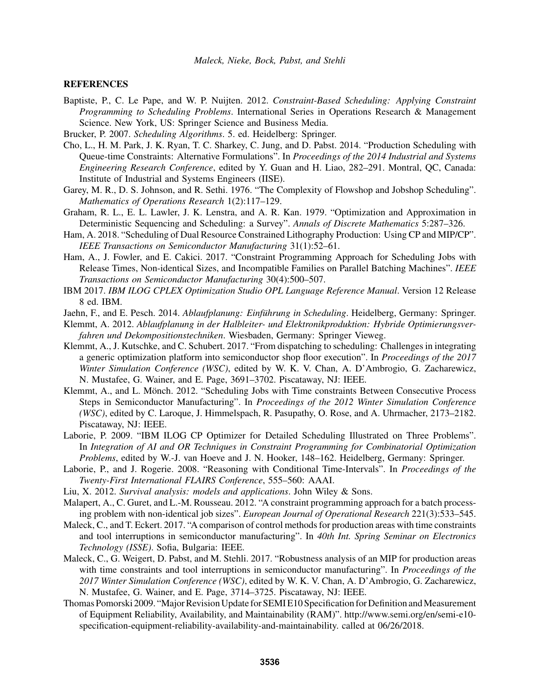## **REFERENCES**

- Baptiste, P., C. Le Pape, and W. P. Nuijten. 2012. *Constraint-Based Scheduling: Applying Constraint Programming to Scheduling Problems*. International Series in Operations Research & Management Science. New York, US: Springer Science and Business Media.
- Brucker, P. 2007. *Scheduling Algorithms*. 5. ed. Heidelberg: Springer.
- Cho, L., H. M. Park, J. K. Ryan, T. C. Sharkey, C. Jung, and D. Pabst. 2014. "Production Scheduling with Queue-time Constraints: Alternative Formulations". In *Proceedings of the 2014 Industrial and Systems Engineering Research Conference*, edited by Y. Guan and H. Liao, 282–291. Montral, QC, Canada: Institute of Industrial and Systems Engineers (IISE).
- Garey, M. R., D. S. Johnson, and R. Sethi. 1976. "The Complexity of Flowshop and Jobshop Scheduling". *Mathematics of Operations Research* 1(2):117–129.
- Graham, R. L., E. L. Lawler, J. K. Lenstra, and A. R. Kan. 1979. "Optimization and Approximation in Deterministic Sequencing and Scheduling: a Survey". *Annals of Discrete Mathematics* 5:287–326.
- Ham, A. 2018. "Scheduling of Dual Resource Constrained Lithography Production: Using CP and MIP/CP". *IEEE Transactions on Semiconductor Manufacturing* 31(1):52–61.
- Ham, A., J. Fowler, and E. Cakici. 2017. "Constraint Programming Approach for Scheduling Jobs with Release Times, Non-identical Sizes, and Incompatible Families on Parallel Batching Machines". *IEEE Transactions on Semiconductor Manufacturing* 30(4):500–507.
- IBM 2017. *IBM ILOG CPLEX Optimization Studio OPL Language Reference Manual*. Version 12 Release 8 ed. IBM.
- Jaehn, F., and E. Pesch. 2014. *Ablaufplanung: Einführung in Scheduling*. Heidelberg, Germany: Springer.
- Klemmt, A. 2012. *Ablaufplanung in der Halbleiter- und Elektronikproduktion: Hybride Optimierungsverfahren und Dekompositionstechniken*. Wiesbaden, Germany: Springer Vieweg.
- Klemmt, A., J. Kutschke, and C. Schubert. 2017. "From dispatching to scheduling: Challenges in integrating a generic optimization platform into semiconductor shop floor execution". In *Proceedings of the 2017 Winter Simulation Conference (WSC)*, edited by W. K. V. Chan, A. D'Ambrogio, G. Zacharewicz, N. Mustafee, G. Wainer, and E. Page, 3691–3702. Piscataway, NJ: IEEE.
- Klemmt, A., and L. Mönch. 2012. "Scheduling Jobs with Time constraints Between Consecutive Process Steps in Semiconductor Manufacturing". In *Proceedings of the 2012 Winter Simulation Conference (WSC)*, edited by C. Laroque, J. Himmelspach, R. Pasupathy, O. Rose, and A. Uhrmacher, 2173–2182. Piscataway, NJ: IEEE.
- Laborie, P. 2009. "IBM ILOG CP Optimizer for Detailed Scheduling Illustrated on Three Problems". In *Integration of AI and OR Techniques in Constraint Programming for Combinatorial Optimization Problems*, edited by W.-J. van Hoeve and J. N. Hooker, 148–162. Heidelberg, Germany: Springer.
- Laborie, P., and J. Rogerie. 2008. "Reasoning with Conditional Time-Intervals". In *Proceedings of the Twenty-First International FLAIRS Conference*, 555–560: AAAI.
- Liu, X. 2012. *Survival analysis: models and applications*. John Wiley & Sons.
- Malapert, A., C. Guret, and L.-M. Rousseau. 2012. "A constraint programming approach for a batch processing problem with non-identical job sizes". *European Journal of Operational Research* 221(3):533–545.
- Maleck, C., and T. Eckert. 2017. "A comparison of control methods for production areas with time constraints and tool interruptions in semiconductor manufacturing". In *40th Int. Spring Seminar on Electronics Technology (ISSE)*. Sofia, Bulgaria: IEEE.
- Maleck, C., G. Weigert, D. Pabst, and M. Stehli. 2017. "Robustness analysis of an MIP for production areas with time constraints and tool interruptions in semiconductor manufacturing". In *Proceedings of the 2017 Winter Simulation Conference (WSC)*, edited by W. K. V. Chan, A. D'Ambrogio, G. Zacharewicz, N. Mustafee, G. Wainer, and E. Page, 3714–3725. Piscataway, NJ: IEEE.
- Thomas Pomorski 2009. "Major Revision Update for SEMI E10 Specification for Definition and Measurement of Equipment Reliability, Availability, and Maintainability (RAM)". http://www.semi.org/en/semi-e10 specification-equipment-reliability-availability-and-maintainability. called at 06/26/2018.